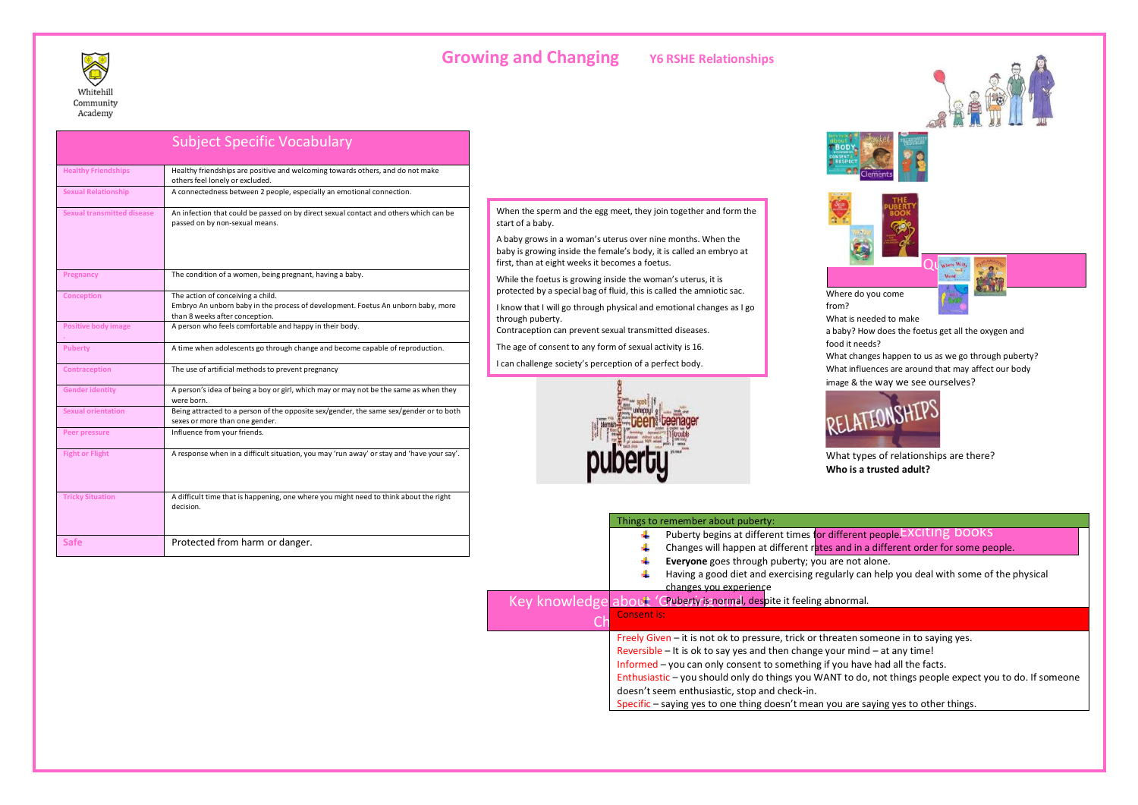

|                                   | <b>Subject Specific Vocabulary</b>                                                                                                                      |
|-----------------------------------|---------------------------------------------------------------------------------------------------------------------------------------------------------|
| <b>Healthy Friendships</b>        | Healthy friendships are positive and welcoming towards others, and do not make<br>others feel lonely or excluded.                                       |
| <b>Sexual Relationship</b>        | A connectedness between 2 people, especially an emotional connection.                                                                                   |
| <b>Sexual transmitted disease</b> | An infection that could be passed on by direct sexual contact and others which can be<br>passed on by non-sexual means.                                 |
| Pregnancy                         | The condition of a women, being pregnant, having a baby.                                                                                                |
| <b>Conception</b>                 | The action of conceiving a child.<br>Embryo An unborn baby in the process of development. Foetus An unborn baby, more<br>than 8 weeks after conception. |
| <b>Positive body image</b>        | A person who feels comfortable and happy in their body.                                                                                                 |
| Puberty                           | A time when adolescents go through change and become capable of reproduction.                                                                           |
| <b>Contraception</b>              | The use of artificial methods to prevent pregnancy                                                                                                      |
| <b>Gender identity</b>            | A person's idea of being a boy or girl, which may or may not be the same as when they<br>were born.                                                     |
| <b>Sexual orientation</b>         | Being attracted to a person of the opposite sex/gender, the same sex/gender or to both<br>sexes or more than one gender.                                |
| Peer pressure                     | Influence from your friends.                                                                                                                            |
| <b>Fight or Flight</b>            | A response when in a difficult situation, you may 'run away' or stay and 'have your say'.                                                               |
| <b>Tricky Situation</b>           | A difficult time that is happening, one where you might need to think about the right<br>decision.                                                      |

**Safe Protected from harm or danger.** 

## **Growing and Changing Y6 RSHE Relationships**

When the sperm and the egg meet, they join together and form the start of a baby.

A baby grows in a woman's uterus over nine months. When the baby is growing inside the female's body, it is called an embryo at first, than at eight weeks it becomes a foetus.

While the foetus is growing inside the woman's uterus, it is protected by a special bag of fluid, this is called the amniotic sac.

I know that I will go through physical and emotional changes as I go through puberty.

Contraception can prevent sexual transmitted diseases.

The age of consent to any form of sexual activity is 16.

I can challenge society's perception of a perfect body.







Where do you come from?

What is needed to make

a baby? How does the foetus get all the oxygen and food it needs?

Where Will<br>Went

What changes happen to us as we go through puberty? What influences are around that may affect our body image & the way we see ourselves?



What types of relationships are there? **Who is a trusted adult?**

| Things to remember about puberty:                                                                       |  |
|---------------------------------------------------------------------------------------------------------|--|
| Puberty begins at different times for different people EXCITING DOOKS                                   |  |
| Changes will happen at different rates and in a different order for some people.                        |  |
| Everyone goes through puberty; you are not alone.                                                       |  |
| Having a good diet and exercising regularly can help you deal with some of the physical                 |  |
| changes you experience                                                                                  |  |
| Key knowledge about 'Chuberty is normal, despite it feeling abnormal.                                   |  |
| Consent is:                                                                                             |  |
| Freely Given – it is not ok to pressure, trick or threaten someone in to saying yes.                    |  |
| Reversible $-$ It is ok to say yes and then change your mind $-$ at any time!                           |  |
| Informed – you can only consent to something if you have had all the facts.                             |  |
| Enthusiastic – you should only do things you WANT to do, not things people expect you to do. If someone |  |
| doesn't seem enthusiastic, stop and check-in.                                                           |  |
| Specific – saying yes to one thing doesn't mean you are saying yes to other things.                     |  |